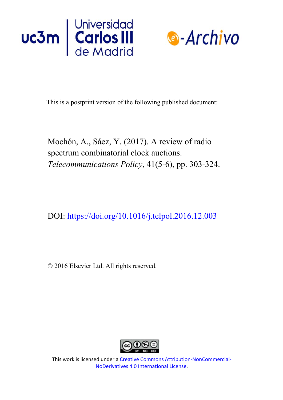



This is a postprint version of the following published document:

Mochón, A., Sáez, Y. (2017). A review of radio spectrum combinatorial clock auctions. *Telecommunications Policy*, 41(5-6), pp. 303-324.

DOI: <https://doi.org/10.1016/j.telpol.2016.12.003>

© 2016 Elsevier Ltd. All rights reserved.



This work is licensed under a Creative [Commons Attribution-NonCommercial-](https://creativecommons.org/licenses/by-nc-nd/4.0/)NoDerivatives [4.0 International License.](https://creativecommons.org/licenses/by-nc-nd/4.0/)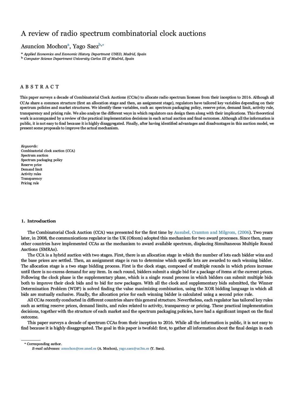# A review of radio spectrum combinatorial clock auctions

# Asuncion Mochon<sup>a</sup>, Yago Saez<sup>b,\*</sup>

<sup>a</sup>*Applied .Economics and Economic History Department UNED, Madrid, Spain* 

**b** *Computer Science Department University Q:n-los m <1! Madrid, Spain* 

# **A B S TR AC T**

<span id="page-1-1"></span><span id="page-1-0"></span>This paper surveys a decade of Combinatorial Clock Auctions (CCAs) to allocate radio spectrum licenses from their inception to 2016. Although all CCAs share a common stru[cture \(first an allo](#page-1-0)[ca](#page-1-1)[tio](#page-1-2)n stage and then, an assignment stage), regulators have tailored key variables depending on their spectrum policies and market structures. We identify these variables, such as: spectrum packaging policy, reserve price, demand limit, activity rule, transparency and pricing rule. We also analyze the different ways in which regulators can design them along with their implications. This theoretical work is accompanied by a review of the practical implementation decisions in each actual auction and final outcomes. Although all the information is public, it is not easy to find because it is highly disaggregated. Finally, after having identified advantages and disadvantages in this auction model, we present some proposals to improve the actual mechanism.

*K2ywords:*  Combinatorial clock auction (CCA) Spectrum auction Spectrum packaging policy Reserve price Demand limit Activity rules Transparency Pricing rule

## 1. **Introduction**

The Combinatorial Clock Auction (CCA) was presented for the first time by [Ausubel, Cramton and Milgrom, \(2006](#page-1-3)). Two years later, in 2008, the communications regulator in the UK (Ofcom) adopted this mechanism for two award processes. Since then, many other countries have implemented CCAs as the mechanism to award available spectrum, displacing Simultaneous Multiple Round Auctions (SMRAs).

The CCA is a hybrid auction with two stages. First, there is an allocation stage in which the number of lots each bidder wins and the base prices are settled. Then, an assignment stage is run to determine which specific lots are awarded to each winning bidder. The allocation stage is a two stage bidding process. First is the clock stage, composed of multiple rounds in which prices increase until there is no excess demand for any item. In each round, bidders submit a single bid for a package of items at the current prices. Following the clock phase is the supplementary phase, which is a single round process in which bidders can submit multiple bids both to improve their clock bids and to bid for new packages. With all the clock and supplementary bids submitted, the Winner Determination Problem (WDP) is solved finding the value maximizing combination, using the XOR bidding language in which all bids are mutually exclusive. Finally, the allocation price for each winning bidder is calculated using a second price rule.

All CCAs recently conducted in different countries share this general structure. Nevertheless, each regulator has tailored key rules such as setting reserve prices, demand limits, and rules related to activity, transparency or pricing. These practical implementation decisions, together with the structure of each market and the spectrum packaging policies, have had a significant impact on the final outcome.

This paper surveys a decade of spectrum CCAs from their inception to 2016. While all the information is public, it is not easy to find because it is highly disaggregated. The goal in this paper is twofold: first, to gather all information about the final design in each

<span id="page-1-3"></span><span id="page-1-2"></span>• Corresponding author. *E-mail addresses:* amochon@cee.uned.es (A Mochon), yago.saez@uc3m.es (Y. Saez).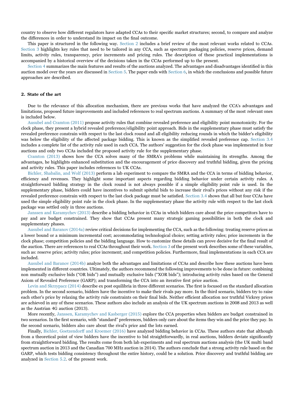country to observe how different regulators have adapted CCAs to their specific market structures; second, to compare and analyze the differences in order to understand its impact on the final outcome.

This paper is structured in the following way. [Section 2](#page-2-0) includes a brief review of the most relevant works related to CCAs. [Section 3](#page-3-0) highlights key rules that need to be tailored in any CCA, such as spectrum packaging policies, reserve prices, demand limits, activity rules, transparency, price increments and pricing rules. The description of these practical implementations is accompanied by a historical overview of the decisions taken in the CCAs performed up to the present.

[Section 4](#page-10-0) summarizes the main features and results of the auctions analyzed. The advantages and disadvantages identified in this auction model over the years are discussed in [Section 5.](#page-18-0) The paper ends with [Section 6](#page-20-0), in which the conclusions and possible future approaches are described.

### <span id="page-2-0"></span>2. State of the art

Due to the relevance of this allocation mechanism, there are previous works that have analyzed the CCA's advantages and limitations, proposed future improvements and included references to real spectrum auctions. A summary of the most relevant ones is included below.

[Ausubel and Cramton \(2011\)](#page-21-0) propose activity rules that combine revealed preference and eligibility point monotonicity. For the clock phase, they present a hybrid revealed preference/eligibility point approach. Bids in the supplementary phase must satisfy the revealed preference constrain with respect to the last clock round and all eligibility reducing rounds in which the bidder's eligibility was below the eligibility of the affected package bidding. This is known as the simplified revealed preference cap. [Section 3.4](#page-6-0) includes a complete list of the activity rule used in each CCA. The authors' suggestion for the clock phase was implemented in four auctions and only two CCAs included the proposed activity rule for the supplementary phase.

[Cramton \(2013\)](#page-21-1) shows how the CCA solves many of the SMRA's problems while maintaining its strengths. Among the advantages, he highlights enhanced substitution and the encouragement of price discovery and truthful bidding, given the pricing and activity rules. This paper includes references to UK CCAs.

[Bichler, Shabalin, and Wolf \(2013\)](#page-21-2) perform a lab experiment to compare the SMRA and the CCA in terms of bidding behavior, efficiency and revenues. They highlight some important aspects regarding bidding behavior under certain activity rules. A straightforward bidding strategy in the clock round is not always possible if a simple eligibility point rule is used. In the supplementary phase, bidders could have incentives to submit spiteful bids to increase their rival's prices without any risk if the revealed preference constrain with respect to the last clock package must be satisfied. [Section 3.4](#page-6-0) shows that all but four CCAs have used the simple eligibility point rule in the clock phase. In the supplementary phase the activity rule with respect to the last clock package was settled only in three auctions.

[Janssen and Karamychev \(2013\)](#page-22-0) describe a bidding behavior in CCAs in which bidders care about the price competitors have to pay and are budget constrained. They show that CCAs present many strategic gaming possibilities in both the clock and supplementary phases.

[Ausubel and Baranov \(2014a\)](#page-21-3) review critical decisions for implementing the CCA, such as the following: treating reserve prices as a lower bound or a minimum incremental cost; accommodating technological choice; setting activity rules; price increments in the clock phase; competition policies and the bidding language. How to customize these details can prove decisive for the final result of the auction. There are references to real CCAs throughout their work. [Section 3](#page-3-0) of the present work describes some of these variables, such as: reserve price; activity rules; price increment; and competition policies. Furthermore, final implementations in each CCA are included.

[Ausubel and Baranov \(2014b\)](#page-21-3) analyze both the advantages and limitations of CCAs and describe how these auctions have been implemented in different countries. Ultimately, the authors recommend the following improvements to be done in future: combining non mutually exclusive bids ("OR bids") and mutually exclusive bids ("XOR bids"); introducing activity rules based on the General Axiom of Revealed Preference (GARP); and transforming the CCA into an iterative first price auction.

[Levin and Skrzypacz \(2014\)](#page-22-1) describe ex post equilibria in three different scenarios. The first is focused on the standard allocation problem. In the second scenario, bidders have the incentive to make their rivals pay more. In the third scenario, bidders try to raise each other's price by relaxing the activity rule constraints on their final bids. Neither efficient allocation nor truthful Vickrey prices are achieved in any of these scenarios. These authors also include an analysis of the UK spectrum auctions in 2008 and 2013 as well as the Austrian 4G auction (2013).

More recently, [Janssen, Karamychev and Kasberger \(2015\)](#page-22-2) explore the CCA properties when bidders are budget constrained in two scenarios. In the first scenario, with "standard" preferences, bidders only care about the items they win and the price they pay. In the second scenario, bidders also care about the rival's price and the lots earned.

Finally, Bichler, Goetzendorff [and Kroemer \(2016\)](#page-22-3) have analyzed bidding behavior in CCAs. These authors state that although from a theoretical point of view bidders have the incentive to bid straightforwardly, in real auctions, bidders deviate significantly from straightforward bidding. The results come from both lab experiments and real spectrum auctions analysis (the UK multi band spectrum auction in 2013 and the Canadian 700 MHz auction in 2014). The authors conclude that a strong activity rule based on the GARP, which tests bidding consistency throughout the entire history, could be a solution. Price discovery and truthful bidding are analyzed in [Section 5.2](#page-18-1). of the present work.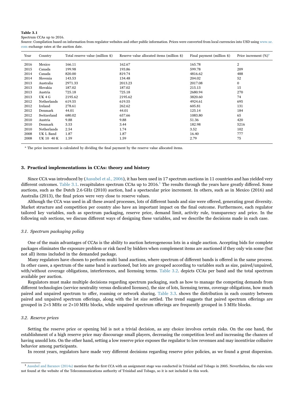#### <span id="page-3-1"></span>Table 3.1

Spectrum CCAs up to 2016.

Source: Compilation based on information from regulator websites and other public information. Prices were converted from local currencies into USD using www.xe. com exchange rates at the auction date.

| Year | Country     | Total reserve value (million \$) | Reserve value allocated items (million \$) | Final payment (million \$) | Price increment $(\%)^a$ |
|------|-------------|----------------------------------|--------------------------------------------|----------------------------|--------------------------|
| 2016 | Mexico      | 166.11                           | 162.67                                     | 165.78                     | $\overline{2}$           |
| 2015 | Canada      | 199.98                           | 193.86                                     | 599.78                     | 209                      |
| 2014 | Canada      | 820.00                           | 819.74                                     | 4816.62                    | 488                      |
| 2014 | Slovenia    | 143.53                           | 134.48                                     | 204.02                     | 52                       |
| 2013 | Australia   | 2971.33                          | 2013.23                                    | 2017.08                    | 0                        |
| 2013 | Slovakia    | 187.02                           | 187.02                                     | 215.13                     | 15                       |
| 2013 | Austria     | 725.18                           | 725.18                                     | 2680.94                    | 270                      |
| 2013 | UK 4 G      | 2195.62                          | 2195.62                                    | 3820.60                    | 74                       |
| 2012 | Netherlands | 619.55                           | 619.55                                     | 4924.61                    | 695                      |
| 2012 | Ireland     | 278.61                           | 262.62                                     | 605.81                     | 131                      |
| 2012 | Denmark     | 44.01                            | 44.01                                      | 125.14                     | 184                      |
| 2012 | Switzerland | 680.02                           | 657.66                                     | 1083.80                    | 65                       |
| 2010 | Austria     | 9.88                             | 9.88                                       | 51.36                      | 420                      |
| 2010 | Denmark     | 3.53                             | 3.44                                       | 182.98                     | 5216                     |
| 2010 | Netherlands | 2.54                             | 1.74                                       | 3.52                       | 102                      |
| 2008 | UK L Band   | 1.87                             | 1.87                                       | 16.40                      | 777                      |
| 2008 | UK 10 40 K  | 1.59                             | 1.59                                       | 2.79                       | 75                       |
|      |             |                                  |                                            |                            |                          |

<sup>a</sup> The price increment is calculated by dividing the final payment by the reserve value allocated items.

#### <span id="page-3-0"></span>3. Practical implementations in CCAs: theory and history

Since CCA was introduced by ([Ausubel et al., 2006\)](#page-21-4), it has been used in 17 spectrum auctions in 11 countries and has yielded very different outcomes. [Table 3.1](#page-3-1). recapitulates spectrum CCAs up to  $2016<sup>1</sup>$ . [The results through the years have greatly di](#page-3-2)ffered. Some auctions, such as the Dutch 2.6 GHz (2010) auction, had a spectacular price increment. In others, such as in Mexico (2016) and Australia (2013), the final prices were very close to reserve values.

Although the CCA was used in all these award processes, lots of different bands and size were offered, generating great diversity. Market structure and competition per country also have an important impact on the final outcome. Furthermore, each regulator tailored key variables, such as spectrum packaging, reserve price, demand limit, activity rule, transparency and price. In the following sub sections, we discuss different ways of designing these variables, and we describe the decisions made in each case.

#### 3.1. Spectrum packaging policy

One of the main advantages of CCAs is the ability to auction heterogeneous lots in a single auction. Accepting bids for complete packages eliminates the exposure problem or risk faced by bidders when complement items are auctioned if they only win some (but not all) items included in the demanded package.

Many regulators have chosen to perform multi band auctions, where spectrum of different bands is offered in the same process. In other cases, a spectrum of the same band is auctioned, but lots are grouped according to variables such as size, paired/unpaired, with/without coverage obligations, interferences, and licensing terms. [Table 3.2.](#page-4-0) depicts CCAs per band and the total spectrum available per auction.

Regulators must make multiple decisions regarding spectrum packaging, such as how to manage the competing demands from different technologies (service neutrality versus dedicated licenses), the size of lots, licensing terms, coverage obligations, how much paired and unpaired spectrum to offer, roaming or network sharing. [Table 3.3](#page-4-1). shows the distribution in each country between paired and unpaired spectrum offerings, along with the lot size settled. The trend suggests that paired spectrum offerings are grouped in 2×5 MHz or 2×10 MHz blocks, while unpaired spectrum offerings are frequently grouped in 5 MHz blocks.

#### 3.2. Reserve prices

Setting the reserve price or opening bid is not a trivial decision, as any choice involves certain risks. On the one hand, the establishment of a high reserve price may discourage small players, decreasing the competition level and increasing the chances of having unsold lots. On the other hand, setting a low reserve price exposes the regulator to low revenues and may incentivize collusive behavior among participants.

In recent years, regulators have made very different decisions regarding reserve price policies, as we found a great dispersion.

<span id="page-3-2"></span><sup>1</sup> [Ausubel and Baranov \(2014a\)](#page-21-5) mention that the first CCA with an assignment stage was conducted in Trinidad and Tobago in 2005. Nevertheless, the rules were not found at the website of the Telecommunications authority of Trinidad and Tobago, so it is not included in this work.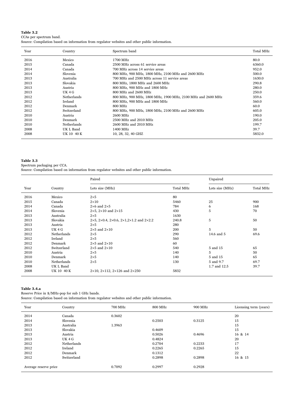<span id="page-4-0"></span>Table 3.2 CCAs per spectrum band. Source: Compilation based on information from regulator websites and other public information.

| Year | Country           | Spectrum band                                               | Total MHz |
|------|-------------------|-------------------------------------------------------------|-----------|
| 2016 | Mexico            | 1700 MHz                                                    | 80.0      |
| 2015 | Canada            | 2500 MHz across 61 service areas                            | 6360.0    |
| 2014 | Canada            | 700 MHz across 14 service areas                             | 952.0     |
| 2014 | Slovenia          | 800 MHz, 900 MHz, 1800 MHz, 2100 MHz and 2600 MHz           | 500.0     |
| 2013 | Australia         | 700 MHz and 2500 MHz across 11 service areas                | 1630.0    |
| 2013 | Slovakia          | 800 MHz, 1800 MHz and 2600 MHz                              | 290.8     |
| 2013 | Austria           | 800 MHz, 900 MHz and 1800 MHz                               | 280.0     |
| 2013 | UK <sub>4</sub> G | 800 MHz and 2600 MHz                                        | 250.0     |
| 2012 | Netherlands       | 800 MHz, 900 MHz, 1800 MHz, 1900 MHz, 2100 MHz and 2600 MHz | 359.6     |
| 2012 | Ireland           | 800 MHz, 900 MHz and 1800 MHz                               | 560.0     |
| 2012 | Denmark           | 800 MHz                                                     | 60.0      |
| 2012 | Switzerland       | 800 MHz, 900 MHz, 1800 MHz, 2100 MHz and 2600 MHz           | 605.0     |
| 2010 | Austria           | 2600 MHz                                                    | 190.0     |
| 2010 | Denmark           | 2500 MHz and 2010 MHz                                       | 205.0     |
| 2010 | Netherlands       | 2600 MHz and 2010 MHz                                       | 199.7     |
| 2008 | UK L Band         | 1400 MHz                                                    | 39.7      |
| 2008 | UK 10 40 K        | 10, 28, 32, 40 GHZ                                          | 5832.0    |

#### <span id="page-4-1"></span>Table 3.3

Spectrum packaging per CCA.

Source: Compilation based on information from regulator websites and other public information.

|      |                   | Paired                                                                            |           | Unpaired        |           |
|------|-------------------|-----------------------------------------------------------------------------------|-----------|-----------------|-----------|
| Year | Country           | Lots size (MHz)                                                                   | Total MHz | Lots size (MHz) | Total MHz |
| 2016 | Mexico            | $2\times 5$                                                                       | 80        |                 |           |
| 2015 | Canada            | $2\times10$                                                                       | 5460      | 25              | 900       |
| 2014 | Canada            | $2\times6$ and $2\times5$                                                         | 784       | 6               | 168       |
| 2014 | Slovenia          | $2\times5$ , $2\times10$ and $2\times15$                                          | 430       | 5               | 70        |
| 2013 | Australia         | $2\times 5$                                                                       | 1630      |                 |           |
| 2013 | Slovakia          | $2\times5$ , $2\times0.4$ , $2\times0.6$ , $2\times1.2\times1.2$ and $2\times2.2$ | 240.8     | 5               | 50        |
| 2013 | Austria           | $2\times 5$                                                                       | 280       |                 |           |
| 2013 | UK <sub>4</sub> G | $2\times5$ and $2\times10$                                                        | 200       | 5               | 50        |
| 2012 | Netherlands       | $2\times 5$                                                                       | 290       | 14.6 and 5      | 69.6      |
| 2012 | Ireland           | $2\times 5$                                                                       | 560       |                 |           |
| 2012 | Denmark           | $2\times5$ and $2\times10$                                                        | 60        |                 |           |
| 2012 | Switzerland       | $2\times5$ and $2\times10$                                                        | 540       | 5 and 15        | 65        |
| 2010 | Austria           | $2\times 5$                                                                       | 140       | 5               | 50        |
| 2010 | Denmark           | $2\times 5$                                                                       | 140       | 5 and 15        | 65        |
| 2010 | Netherlands       | $2\times 5$                                                                       | 130       | 5 and 9.7       | 69.7      |
| 2008 | UK L Band         |                                                                                   |           | 1.7 and 12.5    | 39.7      |
| 2008 | UK 10 40 K        | $2\times10$ , $2\times112$ , $2\times126$ and $2\times250$                        | 5832      |                 |           |

#### <span id="page-4-2"></span>Table 3.4.a

Reserve Price in \$/MHz-pop for sub 1 GHz bands.

Source: Compilation based on information from regulator websites and other public information.

| Year                  | Country           | 700 MHz | 800 MHz | 900 MHz | Licensing term (years) |
|-----------------------|-------------------|---------|---------|---------|------------------------|
| 2014                  | Canada            | 0.3602  |         |         | 20                     |
| 2014                  | Slovenia          |         | 0.2503  | 0.3125  | 15                     |
| 2013                  | Australia         | 1.3963  |         |         | 15                     |
| 2013                  | Slovakia          |         | 0.4609  |         | 15                     |
| 2013                  | Austria           |         | 0.5026  | 0.4696  | 16 & 14                |
| 2013                  | UK <sub>4</sub> G |         | 0.4824  |         | 20                     |
| 2012                  | Netherlands       |         | 0.2704  | 0.2233  | 17                     |
| 2012                  | Ireland           |         | 0.2265  | 0.2265  | 15                     |
| 2012                  | Denmark           |         | 0.1312  |         | 22                     |
| 2012                  | Switzerland       |         | 0.2898  | 0.2898  | 16 & 15                |
| Average reserve price |                   | 0.7092  | 0.2997  | 0.2928  |                        |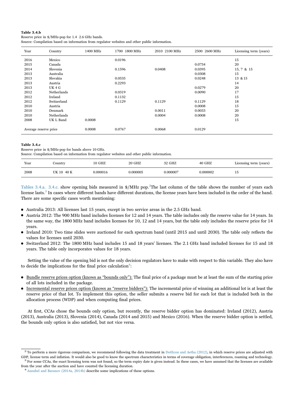#### Table 3.4.b

Reserve price in \$/MHz-pop for 1.4 2.6 GHz bands.

Source: Compilation based on information from regulator websites and other public information.

| Year                  | Country     | 1400 MHz | 1700 1800 MHz | 2010 2100 MHz | 2500 2600 MHz | Licensing term (years) |
|-----------------------|-------------|----------|---------------|---------------|---------------|------------------------|
| 2016                  | Mexico      |          | 0.0196        |               |               | 15                     |
| 2015                  | Canada      |          |               |               | 0.0734        | 20                     |
| 2014                  | Slovenia    |          | 0.1596        | 0.0408        | 0.0395        | 15, 7 & 15             |
| 2013                  | Australia   |          |               |               | 0.0308        | 15                     |
| 2013                  | Slovakia    |          | 0.0535        |               | 0.0248        | 13 & 15                |
| 2013                  | Austria     |          | 0.2293        |               |               | 14                     |
| 2013                  | UK 4 G      |          |               |               | 0.0279        | 20                     |
| 2012                  | Netherlands |          | 0.0319        |               | 0.0090        | 17                     |
| 2012                  | Ireland     |          | 0.1132        |               |               | 15                     |
| 2012                  | Switzerland |          | 0.1129        | 0.1129        | 0.1129        | 18                     |
| 2010                  | Austria     |          |               |               | 0.0008        | 15                     |
| 2010                  | Denmark     |          |               | 0.0011        | 0.0033        | 20                     |
| 2010                  | Netherlands |          |               | 0.0004        | 0.0008        | 20                     |
| 2008                  | UK L Band   | 0.0008   |               |               |               | 15                     |
| Average reserve price |             | 0.0008   | 0.0767        | 0.0068        | 0.0129        |                        |

#### Table 3.4 c

Reserve price in \$/MHz-pop for bands above 10 GHz.

Source: Compilation based on information from regulator websites and other public information.

| Year | Country    | LO GHZ   | 20 GHZ   | 32 GHZ   | 40 GHZ   | Licensing term (years) |
|------|------------|----------|----------|----------|----------|------------------------|
| 2008 | UK 10 40 K | 0.000016 | 0.000005 | 0.000007 | 0.000002 | 15                     |

[Tables 3.4.a. 3.4.c.](#page-4-2) show opening bids measured in \$/MHz pop.<sup>2</sup>[The last column of the table shows the number of years each](#page-5-0) license lasts.<sup>3</sup> In cases where different bands have diff[erent durations, the license years have been included in the order of the band.](#page-5-1) There are some specific cases worth mentioning:

- Australia 2013: All licenses last 15 years, except in two service areas in the 2.5 GHz band.
- Austria 2012: The 900 MHz band includes licenses for 12 and 14 years. The table includes only the reserve value for 14 years. In the same way, the 1800 MHz band includes licenses for 10, 12 and 14 years, but the table only includes the reserve price for 14 years.
- Ireland 2010: Two time slides were auctioned for each spectrum band (until 2015 and until 2030). The table only reflects the values for licenses until 2030.
- Switzerland 2012: The 1800 MHz band includes 15 and 18 years' licenses. The 2.1 GHz band included licenses for 15 and 18 years. The table only incorporates values for 18 years.

Setting the value of the opening bid is not the only decision regulators have to make with respect to this variable. They also have to decide the implications for the final price calculation<sup>4</sup>[:](#page-5-2)

- Bundle reserve prices option (knows as "bounds only"): The final price of a package must be at least the sum of the starting price of all lots included in the package.
- Incremental reserve prices option (knows as "reserve bidders"): The incremental price of winning an additional lot is at least the reserve price of that lot. To implement this option, the seller submits a reserve bid for each lot that is included both in the allocation process (WDP) and when computing final prices.

At first, CCAs chose the bounds only option, but recently, the reserve bidder option has dominated: Ireland (2012), Austria (2013), Australia (2013), Slovenia (2014), Canada (2014 and 2015) and Mexico (2016). When the reserve bidder option is settled, the bounds only option is also satisfied, but not vice versa.

<span id="page-5-0"></span> $2$  To perform a more rigorous comparison, we recommend following the data treatment in [DotEcon and Aetha \(2012\),](#page-22-4) in which reserve prices are adjusted with GDP, license term and inflation. It would also be good to know the spectrum characteristics in terms of coverage obligation, interferences, roaming and technology.<br><sup>3</sup> For some CCAs, the exact licensing term was not found,

<span id="page-5-1"></span>

<span id="page-5-2"></span>from the year after the auction and have counted the licensing duration. <sup>4</sup> [Ausubel and Baranov \(2014a, 2014b\)](#page-21-5) describe some implications of these options.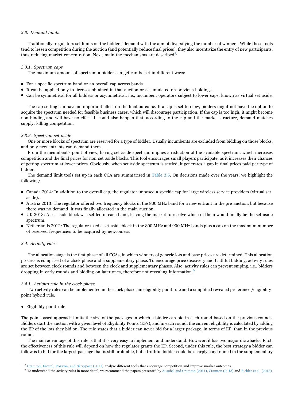## 3.3. Demand limits

Traditionally, regulators set limits on the bidders' demand with the aim of diversifying the number of winners. While these tools tend to lessen competition during the auction (and potentially reduce final prices), they also incentivize the entry of new participants, thus reducing market concentration. Next, main the mechanisms are described<sup>[5](#page-6-1)</sup>:

## 3.3.1. Spectrum caps

The maximum amount of spectrum a bidder can get can be set in different ways:

- For a specific spectrum band or an overall cap across bands.
- It can be applied only to licenses obtained in that auction or accumulated on previous holdings.
- Can be symmetrical for all bidders or asymmetrical, i.e., incumbent operators subject to lower caps, known as virtual set aside.

The cap setting can have an important effect on the final outcome. If a cap is set too low, bidders might not have the option to acquire the spectrum needed for feasible business cases, which will discourage participation. If the cap is too high, it might become non binding and will have no effect. It could also happen that, according to the cap and the market structure, demand matches supply, killing competition.

#### 3.3.2. Spectrum set aside

One or more blocks of spectrum are reserved for a type of bidder. Usually incumbents are excluded from bidding on those blocks, and only new entrants can demand them.

From the incumbent's point of view, having set aside spectrum implies a reduction of the available spectrum, which increases competition and the final prices for non set aside blocks. This tool encourages small players participate, as it increases their chances of getting spectrum at lower prices. Obviously, when set aside spectrum is settled, it generates a gap in final prices paid per type of bidder.

The demand limit tools set up in each CCA are summarized in [Table 3.5.](#page-7-0) On decisions made over the years, we highlight the following:

- Canada 2014: In addition to the overall cap, the regulator imposed a specific cap for large wireless service providers (virtual set aside).
- Austria 2013: The regulator offered two frequency blocks in the 800 MHz band for a new entrant in the pre auction, but because there was no demand, it was finally allocated in the main auction.
- UK 2013: A set aside block was settled in each band, leaving the market to resolve which of them would finally be the set aside spectrum.
- Netherlands 2012: The regulator fixed a set aside block in the 800 MHz and 900 MHz bands plus a cap on the maximum number of reserved frequencies to be acquired by newcomers.

#### <span id="page-6-0"></span>3.4. Activity rules

The allocation stage is the first phase of all CCAs, in which winners of generic lots and base prices are determined. This allocation process is comprised of a clock phase and a supplementary phase. To encourage price discovery and truthful bidding, activity rules are set between clock rounds and between the clock and supplementary phases. Also, activity rules can prevent sniping, i.e., bidders dropping in early rounds and bidding on later ones, therefore not revealing information.<sup>6</sup>

# 3.4.1. Activity rule in the clock phase

Two activity rules can be implemented in the clock phase: an eligibility point rule and a simplified revealed preference /eligibility point hybrid rule.

● Eligibility point rule

The point based approach limits the size of the packages in which a bidder can bid in each round based on the previous rounds. Bidders start the auction with a given level of Eligibility Points (EPs), and in each round, the current eligibility is calculated by adding the EP of the lots they bid on. The rule states that a bidder can never bid for a larger package, in terms of EP, than in the previous round.

The main advantage of this rule is that it is very easy to implement and understand. However, it has two major drawbacks. First, the effectiveness of this rule will depend on how the regulator grants the EP. Second, under this rule, the best strategy a bidder can follow is to bid for the largest package that is still profitable, but a truthful bidder could be sharply constrained in the supplementary

<span id="page-6-2"></span>

<span id="page-6-1"></span> $^5$  [Cramton, Kwerel, Rosston, and Skrzypacz \(2011\)](#page-21-6) analyze different tools that encourage competition and improve market outcomes.<br> $^6$  To understand the activity rules in more detail, we recommend the papers presented b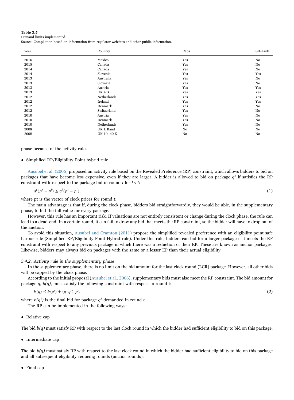<span id="page-7-0"></span>Table 3.5 Demand limits implemented. Source: Compilation based on information from regulator websites and other public information.

| Year | Country     | Caps | Set-aside |
|------|-------------|------|-----------|
| 2016 | Mexico      | Yes  | No        |
| 2015 | Canada      | Yes  | No        |
| 2014 | Canada      | Yes  | No        |
| 2014 | Slovenia    | Yes  | Yes       |
| 2013 | Australia   | Yes  | No        |
| 2013 | Slovakia    | Yes  | No        |
| 2013 | Austria     | Yes  | Yes       |
| 2013 | UK 4 G      | Yes  | Yes       |
| 2012 | Netherlands | Yes  | Yes       |
| 2012 | Ireland     | Yes  | Yes       |
| 2012 | Denmark     | Yes  | No        |
| 2012 | Switzerland | Yes  | No        |
| 2010 | Austria     | Yes  | No        |
| 2010 | Denmark     | Yes  | No        |
| 2010 | Netherlands | Yes  | No        |
| 2008 | UK L Band   | No   | No        |
| 2008 | UK 10 40 K  | No   | No        |

phase because of the activity rules.

# ● Simplified RP/Eligibility Point hybrid rule

[Ausubel et al. \(2006\)](#page-21-4) proposed an activity rule based on the Revealed Preference (RP) constraint, which allows bidders to bid on packages that have become less expensive, even if they are larger. A bidder is allowed to bid on package  $q<sup>t</sup>$  if satisfies the RP constraint with respect to the package bid in round  $l$  for  $l < t$ :

$$
q^t(p^t - p^l) \le q^l(p^t - p^l),\tag{1}
$$

where pt is the vector of clock prices for round t.

The main advantage is that if, during the clock phase, bidders bid straightforwardly, they would be able, in the supplementary phase, to bid the full value for every package.

However, this rule has an important risk. If valuations are not entirely consistent or change during the clock phase, the rule can lead to a dead end. In a certain round, it can fail to draw any bid that meets the RP constraint, so the bidder will have to drop out of the auction.

To avoid this situation, [Ausubel and Cramton \(2011\)](#page-21-0) propose the simplified revealed preference with an eligibility point safe harbor rule (Simplified RP/Eligibility Point Hybrid rule). Under this rule, bidders can bid for a larger package if it meets the RP constraint with respect to any previous package in which there was a reduction of their EP. These are known as anchor packages. Likewise, bidders may always bid on packages with the same or a lesser EP than their actual eligibility.

## 3.4.2. Activity rule in the supplementary phase

In the supplementary phase, there is no limit on the bid amount for the last clock round (LCR) package. However, all other bids will be capped by the clock phase.

According to the initial proposal [\(Ausubel et al., 2006\)](#page-21-4), supplementary bids must also meet the RP constraint. The bid amount for package  $q$ ,  $b(q)$ , must satisfy the following constraint with respect to round t:

$$
b(q) \le b(q^r) + (q - q^r) p^t,\tag{2}
$$

where  $b(q^t)$  is the final bid for package  $q^t$  demanded in round t. The RP can be implemented in the following ways:

● Relative cap

The bid  $b(q)$  must satisfy RP with respect to the last clock round in which the bidder had sufficient eligibility to bid on this package.

● Intermediate cap

The bid  $b(q)$  must satisfy RP with respect to the last clock round in which the bidder had sufficient eligibility to bid on this package and all subsequent eligibility reducing rounds (anchor rounds).

● Final cap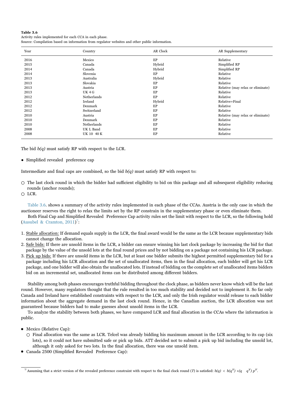#### <span id="page-8-0"></span>Table 3.6

Activity rules implemented for each CCA in each phase.

Source: Compilation based on information from regulator websites and other public information.

| Year | Country           | AR Clock | AR Supplementary                  |
|------|-------------------|----------|-----------------------------------|
| 2016 | Mexico            | EP       | Relative                          |
| 2015 | Canada            | Hybrid   | Simplified RP                     |
| 2014 | Canada            | Hybrid   | Simplified RP                     |
| 2014 | Slovenia          | EP       | Relative                          |
| 2013 | Australia         | Hybrid   | Relative                          |
| 2013 | Slovakia          | EP       | Relative                          |
| 2013 | Austria           | EP       | Relative (may relax or eliminate) |
| 2013 | UK <sub>4</sub> G | EP       | Relative                          |
| 2012 | Netherlands       | EP       | Relative                          |
| 2012 | Ireland           | Hybrid   | Relative+Final                    |
| 2012 | Denmark           | EP       | Relative                          |
| 2012 | Switzerland       | EP       | Relative                          |
| 2010 | Austria           | EP       | Relative (may relax or eliminate) |
| 2010 | Denmark           | EP       | Relative                          |
| 2010 | Netherlands       | EP       | Relative                          |
| 2008 | UK L Band         | EP       | Relative                          |
| 2008 | UK 10 40 K        | EP       | Relative                          |

The bid  $b(q)$  must satisfy RP with respect to the LCR.

● Simplified revealed preference cap

Intermediate and final caps are combined, so the bid  $b(q)$  must satisfy RP with respect to:

 $\Omega$  The last clock round in which the bidder had sufficient eligibility to bid on this package and all subsequent eligibility reducing rounds (anchor rounds);

 $\cap$  LCR.

[Table 3.6.](#page-8-0) shows a summary of the activity rules implemented in each phase of the CCAs. Austria is the only case in which the auctioneer reserves the right to relax the limits set by the RP constrain in the supplementary phase or even eliminate them.

Both Final Cap and Simplified Revealed Preference Cap activity rules set the limit with respect to the LCR, so the following hold ([Ausubel & Cramton, 2011\)](#page-21-0) 7 [:](#page-8-1)

1. Stable allocation: If demand equals supply in the LCR, the final award would be the same as the LCR because supplementary bids cannot change the allocation.

2. Safe bids: If there are unsold items in the LCR, a bidder can ensure winning his last clock package by increasing the bid for that package by the value of the unsold lots at the final round prices and by not bidding on a package not containing his LCR package.

3. Pick up bids: If there are unsold items in the LCR, but at least one bidder submits the highest permitted supplementary bid for a package including his LCR allocation and the set of unallocated items, then in the final allocation, each bidder will get his LCR package, and one bidder will also obtain the unallocated lots. If instead of bidding on the complete set of unallocated items bidders bid on an incremental set, unallocated items can be distributed among different bidders.

Stability among both phases encourages truthful bidding throughout the clock phase, as bidders never know which will be the last round. However, many regulators thought that the rule resulted in too much stability and decided not to implement it. So far only Canada and Ireland have established constraints with respect to the LCR, and only the Irish regulator would release to each bidder information about the aggregate demand in the last clock round. Hence, in the Canadian auction, the LCR allocation was not guaranteed because bidders had to make guesses about unsold items in the LCR.

To analyze the stability between both phases, we have compared LCR and final allocation in the CCAs where the information is public.

- Mexico (Relative Cap):
	- Final allocation was the same as LCR. Telcel was already bidding his maximum amount in the LCR according to its cap (six lots), so it could not have submitted safe or pick up bids. ATT decided not to submit a pick up bid including the unsold lot, although it only asked for two lots. In the final allocation, there was one unsold item.
- Canada 2500 (Simplified Revealed Preference Cap):

<span id="page-8-1"></span><sup>&</sup>lt;sup>7</sup> Assuming that a strict version of the revealed preference constraint with respect to the final clock round (T) is satisfied:  $b(q) < b(q^T) + (q \ q^T) p^T$ .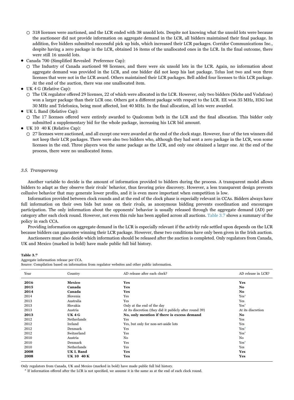- $\Omega$  318 licenses were auctioned, and the LCR ended with 38 unsold lots. Despite not knowing what the unsold lots were because the auctioneer did not provide information on aggregate demand in the LCR, all bidders maintained their final package. In addition, five bidders submitted successful pick up bids, which increased their LCR packages. Corridor Communications Inc., despite having a zero package in the LCR, obtained 16 items of the unallocated ones in the LCR. In the final outcome, there were still 16 unsold lots.
- Canada 700 (Simplified Revealed Preference Cap):
	- The Industry of Canada auctioned 98 licenses, and there were six unsold lots in the LCR. Again, no information about aggregate demand was provided in the LCR, and one bidder did not keep his last package. Telus lost two and won three licenses that were not in the LCR award. Others maintained their LCR packages. Bell added four licenses to this LCR package. At the end of the auction, there was one unallocated item.
- UK 4 G (Relative Cap):
	- The UK regulator offered 29 licenses, 22 of which were allocated in the LCR. However, only two bidders (Niche and Vodafone) won a larger package than their LCR one. Others got a different package with respect to the LCR. EE won 35 MHz, H3G lost 30 MHz and Telefonica, being most affected, lost 40 MHz. In the final allocation, all lots were awarded.
- UK L Band (Relative Cap):
	- The 17 licenses offered were entirely awarded to Qualcomm both in the LCR and the final allocation. This bidder only submitted a supplementary bid for the whole package, increasing his LCR bid amount.
- UK 10 40 K (Relative Cap):
	- 27 licenses were auctioned, and all except one were awarded at the end of the clock stage. However, four of the ten winners did not keep their LCR packages. There were also two bidders who, although they had sent a zero package in the LCR, won some licenses in the end. Three players won the same package as the LCR, and only one obtained a larger one. At the end of the process, there were no unallocated items.

## 3.5. Transparency

Another variable to decide is the amount of information provided to bidders during the process. A transparent model allows bidders to adapt as they observe their rivals' behavior, thus favoring price discovery. However, a less transparent design prevents collusive behavior that may generate lower profits, and it is even more important when competition is low.

Information provided between clock rounds and at the end of the clock phase is especially relevant in CCAs. Bidders always have full information on their own bids but none on their rivals, as anonymous bidding prevents coordination and encourages participation. The only information about the opponents' behavior is usually released through the aggregate demand (AD) per category after each clock round. However, not even this rule has been applied across all auctions. [Table 3.7](#page-9-0) shows a summary of the policy in each CCA.

Providing information on aggregate demand in the LCR is especially relevant if the activity rule settled upon depends on the LCR because bidders can guarantee winning their LCR package. However, these two conditions have only been given in the Irish auction.

Auctioneers must also decide which information should be released after the auction is completed. Only regulators from Canada, UK and Mexico (marked in bold) have made public full bid history.

#### <span id="page-9-0"></span>Table 3.7

Source: Compilation based on information from regulator websites and other public information.

| Year | Country          | AD release after each clock?                            | AD release in LCR? |
|------|------------------|---------------------------------------------------------|--------------------|
| 2016 | Mexico           | Yes                                                     | Yes                |
| 2015 | Canada           | Yes                                                     | No                 |
| 2014 | Canada           | Yes                                                     | No.                |
| 2014 | Slovenia         | Yes                                                     | Yes <sup>a</sup>   |
| 2013 | Australia        | Yes                                                     | Yes                |
| 2013 | Slovakia         | Only at the end of the day                              | Yes <sup>a</sup>   |
| 2013 | Austria          | At its discretion (they did it publicly after round 39) | At its discretion  |
| 2013 | UK 4 G           | No, only mention if there is excess demand              | No.                |
| 2012 | Netherlands      | Yes                                                     | Yes                |
| 2012 | Ireland          | Yes, but only for non-set-aside lots                    | Yes                |
| 2012 | Denmark          | Yes                                                     | Yes <sup>a</sup>   |
| 2012 | Switzerland      | Yes                                                     | Yes <sup>a</sup>   |
| 2010 | Austria          | No.                                                     | No                 |
| 2010 | Denmark          | Yes                                                     | Yes <sup>a</sup>   |
| 2010 | Netherlands      | Yes                                                     | Yes                |
| 2008 | <b>UK L Band</b> | Yes                                                     | Yes                |
| 2008 | UK 10 40 K       | Yes                                                     | Yes                |

Only regulators from Canada, UK and Mexico (marked in bold) have made public full bid history.

<sup>a</sup> If information offered after the LCR is not specified, we assume it is the same as at the end of each clock round.

Aggregate information release per CCA.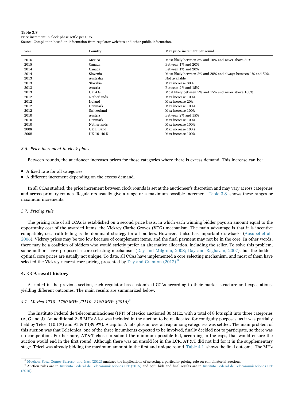#### <span id="page-10-1"></span>Table 3.8 Price increment in clock phase settle per CCA. Source: Compilation based on information from regulator websites and other public information.

| Year | Country     | Max price increment per round                                |
|------|-------------|--------------------------------------------------------------|
| 2016 | Mexico      | Most likely between 3% and 10% and never above 30%           |
| 2015 | Canada      | Between 1% and 20%                                           |
| 2014 | Canada      | Between 1% and 20%                                           |
| 2014 | Slovenia    | Most likely between 2% and 20% and always between 1% and 50% |
| 2013 | Australia   | Not available                                                |
| 2013 | Slovakia    | Max increase 30%                                             |
| 2013 | Austria     | Between 2% and 15%                                           |
| 2013 | UK 4 G      | Most likely between 5% and 15% and never above 100%          |
| 2012 | Netherlands | Max increase 100%                                            |
| 2012 | Ireland     | Max increase 20%                                             |
| 2012 | Denmark     | Max increase 100%                                            |
| 2012 | Switzerland | Max increase 100%                                            |
| 2010 | Austria     | Between 2% and 15%                                           |
| 2010 | Denmark     | Max increase 100%                                            |
| 2010 | Netherlands | Max increase 100%                                            |
| 2008 | UK L Band   | Max increase 100%                                            |
| 2008 | UK 10 40 K  | Max increase 100%                                            |

## 3.6. Price increment in clock phase

Between rounds, the auctioneer increases prices for those categories where there is excess demand. This increase can be:

- <sup>A</sup> fixed rate for all categories
- A different increment depending on the excess demand.

In all CCAs studied, the price increment between clock rounds is set at the auctioneer's discretion and may vary across categories and across primary rounds. Regulators usually give a range or a maximum possible increment. [Table 3.8](#page-10-1). shows these ranges or maximum increments.

### 3.7. Pricing rule

The pricing rule of all CCAs is established on a second price basis, in which each winning bidder pays an amount equal to the opportunity cost of the awarded items: the Vickrey Clarke Groves (VCG) mechanism. The main advantage is that it is incentive compatible, i.e., truth telling is the dominant strategy for all bidders. However, it also has important drawbacks [\(Ausubel et al.,](#page-21-4) [2006\)](#page-21-4). Vickrey prices may be too low because of complement items, and the final payment may not be in the core. In other words, there may be a coalition of bidders who would strictly prefer an alternative allocation, including the seller. To solve this problem, some authors have proposed a core selecting mechanism [\(Day and Milgrom, 2008; Day and Raghavan, 2007\)](#page-22-5), but the bidder optimal core prices are usually not unique. To date, all CCAs have implemented a core selecting mechanism, and most of them have selected the Vickrey nearest core pricing presented by [Day and Cramton \(2012\)](#page-22-6).<sup>[8](#page-10-2)</sup>

#### <span id="page-10-0"></span>4. CCA result history

As noted in the previous section, each regulator has customized CCAs according to their market structure and expectations, yielding different outcomes. The main results are summarized below.

## 4.1. Mexico 1710 1780 MHz /2110 2180 MHz (2016)<sup>[9](#page-10-3)</sup>

The Instituto Federal de Telecomunicaciones (IFT) of Mexico auctioned 80 MHz, with a total of 8 lots split into three categories (A, G and J). An additional 2×5 MHz A lot was included in the auction to be reallocated for contiguity purposes, as it was partially held by Telcel (10.1%) and AT & T (89.9%). A cap for A lots plus an overall cap among categories was settled. The main problem of this auction was that Telefonica, one of the three incumbents expected to be involved, finally decided not to participate, so there was no competition. Furthermore, AT & T chose to submit the minimum possible bid, according to the caps, that would ensure the auction would end in the first round. Although there was an unsold lot in the LCR, AT & T did not bid for it in the supplementary stage. Telcel was already bidding the maximum amount in the first and unique round. [Table 4.1](#page-11-0). shows the final outcome. The MHz

<span id="page-10-3"></span><span id="page-10-2"></span><sup>8</sup> [Mochon, Saez, Gomez-Barroso, and Isasi \(2012\)](#page-22-7) analyzes the implications of selecting a particular pricing rule on combinatorial auctions.<br>9 Auction rules are in [Instituto Federal de Telecomunicaciones IFT \(2015\)](#page-22-8) and both [\(2016\)](#page-22-9).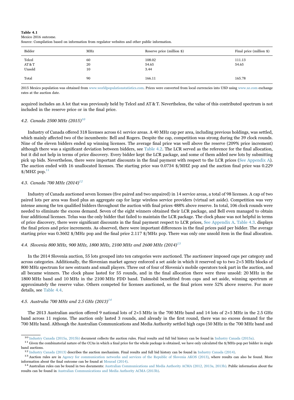<span id="page-11-0"></span>

| Table 4.1                                                                                      |
|------------------------------------------------------------------------------------------------|
| Mexico 2016 outcome.                                                                           |
| Source: Compilation based on information from regulator websites and other public information. |

| Bidder                   | MHz            | Reserve price (million \$) | Final price (million \$) |
|--------------------------|----------------|----------------------------|--------------------------|
| Telcel<br>AT&T<br>Unsold | 60<br>20<br>10 | 108.02<br>54.65<br>3.44    | 111.13<br>54.65          |
| Total                    | 90             | 166.11                     | 165.78                   |

2015 Mexico population was obtained from www.worldpopulationstatistics.com. Prices were converted from local currencies into USD using www.xe.com exchange rates at the auction date.

acquired includes an A lot that was previously held by Telcel and AT & T. Nevertheless, the value of this contributed spectrum is not included in the reserve price or in the final price.

# 4.2. Canada 2500 MHz  $(2015)^{10}$  $(2015)^{10}$  $(2015)^{10}$

Industry of Canada offered 318 licenses across 61 service areas. A 40 MHz cap per area, including previous holdings, was settled, which mainly affected two of the incumbents: Bell and Rogers. Despite the cap, competition was strong during the 39 clock rounds. Nine of the eleven bidders ended up winning licenses. The average final price was well above the reserve (209% price increment) although there was a significant deviation between bidders, see [Table 4.2.](#page-12-0) The LCR served as the reference for the final allocation, but it did not help in terms of price discovery. Every bidder kept the LCR package, and some of them added new lots by submitting pick up bids. Nevertheless, there were important discounts in the final payment with respect to the LCR prices [\(See Appendix A](#page-20-1)). The auction ended with 16 unallocated licenses. The starting price was 0.0734 \$/MHZ pop and the auction final price was 0.229  $N/MHZ$  pop.<sup>[11](#page-11-2)</sup>

# 4.3. Canada 700 MHz  $(2014)^{12}$  $(2014)^{12}$  $(2014)^{12}$

Industry of Canada auctioned seven licenses (five paired and two unpaired) in 14 service areas, a total of 98 licenses. A cap of two paired lots per area was fixed plus an aggregate cap for large wireless service providers (virtual set aside). Competition was very intense among the ten qualified bidders throughout the auction with final prices 488% above reserve. In total, 106 clock rounds were needed to eliminate the excess demand. Seven of the eight winners obtained their LCR package, and Bell even managed to obtain four additional licenses. Telus was the only bidder that failed to maintain the LCR package. The clock phase was not helpful in terms of price discovery, there were significant discounts in the final payment respect to LCR prices, [See Appendix A](#page-20-1). [Table 4.3](#page-12-1). displays the final prices and price increments. As observed, there were important differences in the final prices paid per bidder. The average starting price was 0.3602 \$/MHz pop and the final price 2.117 \$/MHz pop. There was only one unsold item in the final allocation.

# 4.4. Slovenia 800 MHz, 900 MHz, 1800 MHz, 2100 MHz and 2600 MHz (2014)<sup>[13](#page-11-4)</sup>

In the 2014 Slovenia auction, 55 lots grouped into ten categories were auctioned. The auctioneer imposed caps per category and across categories. Additionally, the Slovenian market agency enforced a set aside in which it reserved up to two 2×5 MHz blocks of 800 MHz spectrum for new entrants and small players. Three out of four of Slovenia's mobile operators took part in the auction, and all became winners. The clock phase lasted for 55 rounds, and in the final allocation there were three unsold: 20 MHz in the 1800 MHz band and 10 MHz in the 2100 MHz FDD band. Tušmobil benefitted from caps and set aside, winning spectrum at approximately the reserve value. Others competed for licenses auctioned, so the final prices were 52% above reserve. For more details, see [Table 4.4](#page-12-2).

### 4.5. Australia 700 MHz and 2.5 GHz  $(2013)^{14}$  $(2013)^{14}$  $(2013)^{14}$

The 2013 Australian auction offered 9 national lots of 2×5 MHz in the 700 MHz band and 14 lots of 2×5 MHz in the 2.5 GHz band across 11 regions. The auction only lasted 3 rounds, and already in the first round, there was no excess demand for the 700 MHz band. Although the Australian Communications and Media Authority settled high caps (50 MHz in the 700 MHz band and

<span id="page-11-2"></span>

<span id="page-11-1"></span> $^{10}$  [Industry Canada \(2015a, 2015b\)](#page-22-10) document collects the auction rules. Final results and full bid history can be found in [Industry Canada \(2015a\).](#page-22-10)<br><sup>11</sup> Given the combinatorial nature of the CCAs in which a final price

<span id="page-11-4"></span>

<span id="page-11-3"></span>band auctions.<br><sup>12</sup> [Industry Canada \(2013\)](#page-22-11) describes the auction mechanism. Final results and full bid history can be found in [Industry Canada \(2014\)](#page-22-12).<br><sup>13</sup> Auction rules are in Agency for communication networks and service information about the final outcome can be found at [Mourad \(2014\)](#page-22-13).<br><sup>14</sup> Australian rules can be found in two documents: [Australian Communications and Media Authority ACMA \(2012, 2013a, 2013b\)](#page-21-8). Public information about the

<span id="page-11-5"></span>results can be found in [Australian Communications and Media Authority ACMA \(2013b\)](#page-21-9).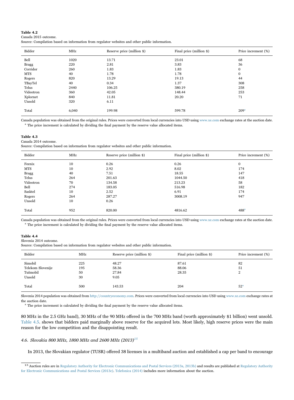<span id="page-12-0"></span>

| <b>Table 4.2</b>                                                                              |
|-----------------------------------------------------------------------------------------------|
| Canada 2015 outcome.                                                                          |
| Source: Compilation based on information from regulator websites and other public information |

| Bidder       | MHz   | Reserve price (million \$) | Final price (million \$) | Price increment (%) |
|--------------|-------|----------------------------|--------------------------|---------------------|
| Bell         | 1020  | 13.71                      | 23.01                    | 68                  |
| <b>Bragg</b> | 220   | 2.81                       | 3.83                     | 36                  |
| Corridor     | 260   | 1.83                       | 1.83                     | $\bf{0}$            |
| <b>MTS</b>   | 40    | 1.78                       | 1.78                     | $\mathbf{0}$        |
| Rogers       | 820   | 13.29                      | 19.13                    | 44                  |
| TBayTel      | 40    | 0.34                       | 1.37                     | 308                 |
| Telus        | 2440  | 106.25                     | 380.19                   | 258                 |
| Videotron    | 360   | 42.05                      | 148.44                   | 253                 |
| Xplornet     | 840   | 11.81                      | 20.20                    | 71                  |
| Unsold       | 320   | 6.11                       |                          |                     |
|              |       |                            |                          |                     |
| Total        | 6,040 | 199.98                     | 599.78                   | 209 <sup>a</sup>    |
|              |       |                            |                          |                     |

Canada population was obtained from the original rules. Prices were converted from local currencies into USD using www.xe.com exchange rates at the auction date. <sup>a</sup> The price increment is calculated by dividing the final payment by the reserve value allocated items.

#### <span id="page-12-1"></span>Table 4.3

Canada 2014 outcome.

Source: Compilation based on information from regulator websites and other public information.

| Bidder       | MHz | Reserve price (million \$) | Final price (million \$) | Price increment (%) |
|--------------|-----|----------------------------|--------------------------|---------------------|
| Feenix       | 10  | 0.26                       | 0.26                     | $\mathbf{0}$        |
| MTS          | 10  | 2.92                       | 8.02                     | 174                 |
| <b>Bragg</b> | 40  | 7.51                       | 18.55                    | 147                 |
| Telus        | 264 | 201.63                     | 1044.50                  | 418                 |
| Videotron    | 70  | 134.58                     | 213.23                   | 58                  |
| Bell         | 274 | 183.05                     | 516.98                   | 182                 |
| Sasktel      | 10  | 2.52                       | 6.91                     | 174                 |
| Rogers       | 264 | 287.27                     | 3008.19                  | 947                 |
| Unsold       | 10  | 0.26                       |                          |                     |
| Total        | 952 | 820.00                     | 4816.62                  | 488 <sup>a</sup>    |

Canada population was obtained from the original rules. Prices were converted from local currencies into USD using www.xe.com exchange rates at the auction date. <sup>a</sup> The price increment is calculated by dividing the final payment by the reserve value allocated items.

### <span id="page-12-2"></span>Table 4.4

# Slovenia 2014 outcome.

Source: Compilation based on information from regulator websites and other public information.

| Bidder                                             | MHz                    | Reserve price (million \$)      | Final price (million \$) | Price increment (%) |
|----------------------------------------------------|------------------------|---------------------------------|--------------------------|---------------------|
| Simobil<br>Telekom Slovenije<br>Tušmobil<br>Unsold | 225<br>195<br>50<br>30 | 48.27<br>58.36<br>27.84<br>9.05 | 87.61<br>88.06<br>28.35  | 82<br>51<br>ົ       |
| Total                                              | 500                    | 143.53                          | 204                      | 52 <sup>a</sup>     |

Slovenia 2014 population was obtained from http://countryeconomy.com. Prices were converted from local currencies into USD using www.xe.com exchange rates at the auction date.

<sup>a</sup> The price increment is calculated by dividing the final payment by the reserve value allocated items.

80 MHz in the 2.5 GHz band), 30 MHz of the 90 MHz offered in the 700 MHz band (worth approximately \$1 billion) went unsold. [Table 4.5.](#page-13-0) shows that bidders paid marginally above reserve for the acquired lots. Most likely, high reserve prices were the main reason for the low competition and the disappointing result.

# 4.6. Slovakia 800 MHz, 1800 MHz and 2600 MHz (2013)<sup>[15](#page-12-3)</sup>

In 2013, the Slovakian regulator (TUSR) offered 38 licenses in a multiband auction and established a cap per band to encourage

<span id="page-12-3"></span><sup>15</sup> Auction rules are in [Regulatory Authority for Electronic Communications and Postal Services \(2013a, 2013b\)](#page-22-14) and results are published at [Regulatory Authority](#page-22-15) [for Electronic Communications and Postal Services \(2013c\).](#page-22-15) [Telefonica \(2014\)](#page-22-16) includes more information about the auction.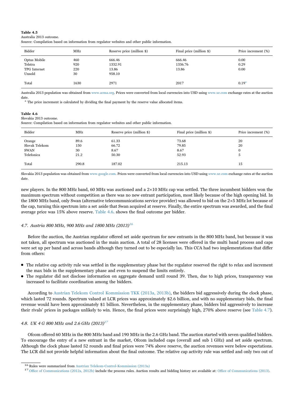<span id="page-13-0"></span>

| <b>Table 4.5</b>                                                                               |
|------------------------------------------------------------------------------------------------|
| Australia 2013 outcome.                                                                        |
| Source: Compilation based on information from regulator websites and other public information. |

| Bidder                  | MHz        | Reserve price (million \$) | Final price (million \$) | Price increment (%) |
|-------------------------|------------|----------------------------|--------------------------|---------------------|
| Optus Mobile<br>Telstra | 460<br>920 | 666.46<br>1332.91          | 666.46<br>1336.76        | 0.00<br>0.29        |
| TPG Internet<br>Unsold  | 220<br>30  | 13.86<br>958.10            | 13.86                    | 0.00                |
| Total                   | 1630       | 2971                       | 2017                     | 0.19 <sup>a</sup>   |

Australia 2013 population was obtained from www.acma.org. Prices were converted from local currencies into USD using www.xe.com exchange rates at the auction date.

<sup>a</sup> The price increment is calculated by dividing the final payment by the reserve value allocated items.

#### <span id="page-13-1"></span>Table 4.6

Slovakia 2013 outcome.

Source: Compilation based on information from regulator websites and other public information.

| Bidder         | MHz   | Reserve price (million \$) | Final price (million \$) | Price increment (%) |
|----------------|-------|----------------------------|--------------------------|---------------------|
| Orange         | 89.6  | 61.33                      | 73.68                    | 20                  |
| Slovak Telekom | 150   | 66.72                      | 79.85                    | 20                  |
| <b>SWAN</b>    | 30    | 8.67                       | 8.67                     | 0                   |
| Telefonica     | 21.2  | 50.30                      | 52.93                    | G                   |
| Total          | 290.8 | 187.02                     | 215.13                   | 15                  |
|                |       |                            |                          |                     |

Slovakia 2013 population was obtained from www.google.com. Prices were converted from local currencies into USD using www.xe.com exchange rates at the auction date.

new players. In the 800 MHz band, 60 MHz was auctioned and a 2×10 MHz cap was settled. The three incumbent bidders won the maximum spectrum without competition as there was no new entrant participation, most likely because of the high opening bid. In the 1800 MHz band, only Swan (alternative telecommunications service provider) was allowed to bid on the 2×5 MHz lot because of the cap, turning this spectrum into a set aside that Swan acquired at reserve. Finally, the entire spectrum was awarded, and the final average price was 15% above reserve. [Table 4.6.](#page-13-1) shows the final outcome per bidder.

## 4.7. Austria 800 MHz, 900 MHz and 1800 MHz (2013)<sup>[16](#page-13-2)</sup>

Before the auction, the Austrian regulator offered set aside spectrum for new entrants in the 800 MHz band, but because it was not taken, all spectrum was auctioned in the main auction. A total of 28 licenses were offered in the multi band process and caps were set up per band and across bands although they turned out to be especially lax. This CCA had two implementations that differ from others:

- The relative cap activity rule was settled in the supplementary phase but the regulator reserved the right to relax and increment the max bids in the supplementary phase and even to suspend the limits entirely.
- The regulator did not disclose information on aggregate demand until round 39. Then, due to high prices, transparency was increased to facilitate coordination among the bidders.

According to [Austrian Telekom Control Kommission TKK \(2013a, 2013b\),](#page-21-10) the bidders bid aggressively during the clock phase, which lasted 72 rounds. Spectrum valued at LCR prices was approximately \$2.6 billion, and with no supplementary bids, the final revenue would have been approximately \$1 billion. Nevertheless, in the supplementary phase, bidders bid aggressively to increase their rivals' prices in packages unlikely to win. Hence, the final prices were surprisingly high, 270% above reserve (see [Table 4.7](#page-14-0)).

# 4.8. UK 4 G 800 MHz and 2.6 GHz  $(2013)^{17}$

Ofcom offered 60 MHz in the 800 MHz band and 190 MHz in the 2.6 GHz band. The auction started with seven qualified bidders. To encourage the entry of a new entrant in the market, Ofcom included caps (overall and sub 1 GHz) and set aside spectrum. Although the clock phase lasted 52 rounds and final prices were 74% above reserve, the auction revenues were below expectations. The LCR did not provide helpful information about the final outcome. The relative cap activity rule was settled and only two out of

<span id="page-13-3"></span><span id="page-13-2"></span>

<sup>&</sup>lt;sup>16</sup> Rules were summarized from [Austrian Telekom-Control-Kommission \(2013a\)](#page-21-10)<br><sup>17</sup> Offi[ce of Communications \(2012a, 2012b\)](#page-22-17) include the process rules. Auction results and bidding history are available at: Office of Communicat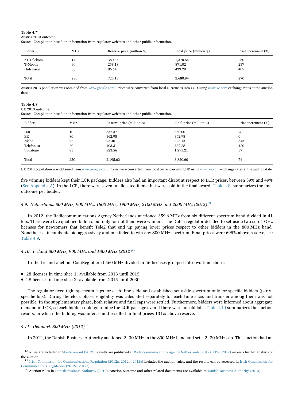<span id="page-14-0"></span>

| Table 4.7                                                                                      |
|------------------------------------------------------------------------------------------------|
| Austria 2013 outcome.                                                                          |
| Source: Compilation based on information from regulator websites and other public information. |

| Bidder                              | MHz             | Reserve price (million \$) | Final price (million \$)     | Price increment (%) |
|-------------------------------------|-----------------|----------------------------|------------------------------|---------------------|
| A1 Telekom<br>T-Mobile<br>Hutchison | 140<br>90<br>50 | 380.36<br>258.18<br>86.64  | 1,370.64<br>871.02<br>439.29 | 260<br>237<br>407   |
| Total                               | 280             | 725.18                     | 2,680.94                     | 270                 |

Austria 2013 population was obtained from www.google.com. Prices were converted from local currencies into USD using www.xe.com exchange rates at the auction date.

#### <span id="page-14-1"></span>Table 4.8

UK 2013 outcome

Source: Compilation based on information from regulator websites and other public information.

| Bidder     | MHz | Reserve price (million \$) | Final price (million \$) | Price increment (%) |
|------------|-----|----------------------------|--------------------------|---------------------|
| H3G        | 10  | 532.37                     | 950.00                   | 78                  |
| ЕE         | 80  | 362.98                     | 362.98                   | 0                   |
| Niche      | 55  | 73.40                      | 325.13                   | 343                 |
| Telefonica | 20  | 403.31                     | 887.28                   | 120                 |
| Vodafone   | 85  | 823.56                     | 1,295.21                 | 57                  |
|            |     |                            |                          |                     |
| Total      | 250 | 2,195.62                   | 3,820.60                 | 74                  |

UK 2013 population was obtained from www.google.com. Prices were converted from local currencies into USD using www.xe.com exchange rates at the auction date.

five winning bidders kept their LCR package. Bidders also had an important discount respect to LCR prices, between 39% and 49% ([See Appendix A\)](#page-20-1). In the LCR, there were seven unallocated items that were sold in the final award. [Table 4.8](#page-14-1). summarizes the final outcome per bidder.

## 4.9. Netherlands 800 MHz, 900 MHz, [18](#page-14-2)00 MHz, 1900 MHz, 2100 MHz and 2600 MHz (2012)<sup>18</sup>

In 2012, the Radiocommunications Agency Netherlands auctioned 359.6 MHz from six different spectrum band divided in 41 lots. There were five qualified bidders but only four of them were winners. The Dutch regulator decided to set aside two sub 1 GHz licenses for newcomers that benefit Tele2 that end up paying lower prices respect to other bidders in the 800 MHz band. Nonetheless, incumbents bid aggressively and one failed to win any 800 MHz spectrum. Final prices were 695% above reserve, see [Table 4.9](#page-15-0).

# 4.10. Ireland 800 MHz, 900 MHz and 1800 MHz (2012)<sup>[19](#page-14-3)</sup>

In the Ireland auction, ComReg offered 560 MHz divided in 56 licenses grouped into two time slides:

- 28 licenses in time slice 1: available from 2013 until 2015.<br>• 28 licenses in time slice 2: available from 2015 until 2030.
- 28 licenses in time slice 2: available from 2015 until 2030.

The regulator fixed tight spectrum caps for each time slide and established set aside spectrum only for specific bidders (party specific lots). During the clock phase, eligibility was calculated separately for each time slice, and transfer among them was not possible. In the supplementary phase, both relative and final caps were settled. Furthermore, bidders were informed about aggregate demand in LCR, so each bidder could guarantee the LCR package even if there were unsold lots. [Table 4.10](#page-15-1) summarizes the auction results, in which the bidding was intense and resulted in final prices 131% above reserve.

# 4.11. Denmark 800 MHz  $(2012)^{20}$  $(2012)^{20}$  $(2012)^{20}$

In 2012, the Danish Business Authority auctioned 2×30 MHz in the 800 MHz band and set a 2×20 MHz cap. This auction had an

<span id="page-14-2"></span><sup>&</sup>lt;sup>18</sup> Rules are included in [Staatscourant \(2012\)](#page-22-19). Results are published at [Radiocommunications Agency Netherlands \(2012\).](#page-22-20) [KPN \(2012\)](#page-22-21) makes a further analysis of the auction.<br><sup>19</sup> [Irish Commission for Communications Regulation \(2012a, 2012b, 2012c\)](#page-22-22) includes the auction rules, and the results can be accessed in [Irish Commission for](#page-22-22)

<span id="page-14-3"></span>[Communications Regulation \(2012a, 2012c\)](#page-22-22)<br><sup>20</sup> Auction rules in [Danish Business Authority \(2012\).](#page-22-23) Auction outcome and other related documents are available at [Danish Business Authority \(2013\)](#page-22-24)

<span id="page-14-4"></span>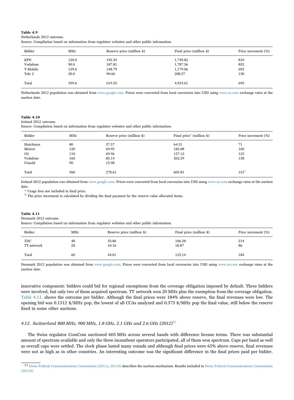<span id="page-15-0"></span>

| <b>Table 4.9</b>                                                                               |
|------------------------------------------------------------------------------------------------|
| Netherlands 2012 outcome.                                                                      |
| Source: Compilation based on information from regulator websites and other public information. |

| Bidder     | MHz   | Reserve price (million \$) | Final price (million \$) | Price increment (%) |
|------------|-------|----------------------------|--------------------------|---------------------|
| <b>KPN</b> | 120.0 | 192.35                     | 1,749.82                 | 810                 |
| Vodafone   | 90.0  | 187.81                     | 1,787.36                 | 852                 |
| T-Mobile   | 129.6 | 148.79                     | 1,179.06                 | 692                 |
| Tele 2     | 20.0  | 90.60                      | 208.37                   | 130                 |
| Total      | 359.6 | 619.55                     | 4,924.61                 | 695                 |

Netherlands 2012 population was obtained from www.google.com. Prices were converted from local currencies into USD using www.xe.com exchange rates at the auction date.

#### <span id="page-15-1"></span>Table 4.10

Ireland 2012 outcome.

Source: Compilation based on information from regulator websites and other public information.

| Bidder    | MHz | Reserve price (million \$) | Final price <sup><math>a</math></sup> (million $\$ ) | Price increment (%) |
|-----------|-----|----------------------------|------------------------------------------------------|---------------------|
| Hutchison | 80  | 37.57                      | 64.31                                                | 71                  |
| Meteor    | 120 | 69.95                      | 182.08                                               | 160                 |
| 02        | 110 | 69.96                      | 157.12                                               | 125                 |
| Vodafone  | 160 | 85.14                      | 202.29                                               | 138                 |
| Unsold    | 90  | 15.98                      |                                                      |                     |
|           |     |                            |                                                      |                     |
| Total     | 560 | 278.61                     | 605.81                                               | 131 <sup>b</sup>    |
|           |     |                            |                                                      |                     |

Ireland 2012 population was obtained from www.google.com. Prices were converted from local currencies into USD using www.xe.com exchange rates at the auction date.

<sup>a</sup> Usage fees not included in final price.

b The price increment is calculated by dividing the final payment by the reserve value allocated items.

#### <span id="page-15-2"></span>Table 4.11

Denmark 2012 outcome.

Source: Compilation based on information from regulator websites and other public information.

| Bidder            | MHz      | Reserve price (million \$) | Final price (million \$) | Price increment (%) |
|-------------------|----------|----------------------------|--------------------------|---------------------|
| TDC<br>TT-network | 40<br>20 | 33.86<br>10.16             | 106.28<br>18.87          | 214<br>86           |
| Total             | 60       | 44.01                      | 125.14                   | 184                 |

Denmark 2012 population was obtained from www.google.com. Prices were converted from local currencies into USD using www.xe.com exchange rates at the auction date.

innovative component: bidders could bid for regional exemptions from the coverage obligation imposed by default. Three bidders were involved, but only two of them acquired spectrum. TT network won 20 MHz plus the exemption from the coverage obligation. [Table 4.11](#page-15-2). shows the outcome per bidder. Although the final prices were 184% above reserve, the final revenues were low. The opening bid was 0.1312 \$/MHz pop, the lowest of all CCAs analyzed and 0.373 \$/MHz pop the final value, still below the reserve fixed in some other auctions.

# 4.12. Switzerland 800 MHz, 900 MHz, 1.8 GHz, 2.1 GHz and 2.6 GHz (2012)<sup>[21](#page-15-3)</sup>

The Swiss regulator ComCom auctioned 605 MHz across several bands with difference license terms. There was substantial amount of spectrum available and only the three incumbent operators participated, all of them won spectrum. Caps per band as well as overall caps were settled. The clock phase lasted many rounds and although final prices were 65% above reserve, final revenues were not as high as in other countries. An interesting outcome was the significant difference in the final prices paid per bidder.

<span id="page-15-3"></span><sup>&</sup>lt;sup>21</sup> [Swiss Federal Communications Commission \(2011a, 2011b\)](#page-22-25) describes the auction mechanism. Results included in [Swiss Federal Communications Commission](#page-22-26) [\(2011b\)](#page-22-26)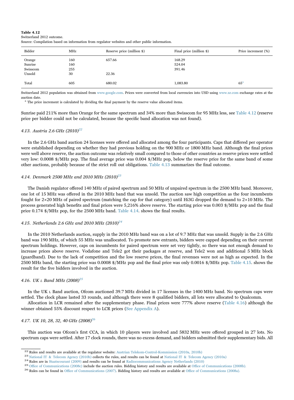<span id="page-16-0"></span>

| Table 4.12                                                                                     |
|------------------------------------------------------------------------------------------------|
| Switzerland 2012 outcome.                                                                      |
| Source: Compilation based on information from regulator websites and other public information. |

| Bidder                                  | MHz                     | Reserve price (million \$) | Final price (million \$)   | Price increment (%) |
|-----------------------------------------|-------------------------|----------------------------|----------------------------|---------------------|
| Orange<br>Sunrise<br>Swisscom<br>Unsold | 160<br>160<br>255<br>30 | 657.66<br>22.36            | 168.29<br>524.04<br>391.46 |                     |
| Total                                   | 605                     | 680.02                     | 1,083.80                   | 65 <sup>a</sup>     |

Switzerland 2012 population was obtained from www.google.com. Prices were converted from local currencies into USD using www.xe.com exchange rates at the auction date.

<sup>a</sup> The price increment is calculated by dividing the final payment by the reserve value allocated items.

Sunrise paid 211% more than Orange for the same spectrum and 34% more than Swisscom for 95 MHz less, see [Table 4.12](#page-16-0) (reserve price per bidder could not be calculated, because the specific band allocation was not found).

#### 4.13. Austria 2.6 GHz  $(2010)^{22}$  $(2010)^{22}$  $(2010)^{22}$

In the 2.6 GHz band auction 24 licenses were offered and allocated among the four participants. Caps that differed per operator were established depending on whether they had previous holding on the 900 MHz or 1800 MHz band. Although the final prices were well above reserve, the auction outcome was relatively small compared to those of other countries as reserve prices were settled very low: 0.0008 \$/MHz pop. The final average price was 0.004 \$/MHz pop, below the reserve price for the same band of some other auctions, probably because of the strict roll out obligations. [Table 4.13](#page-17-0) summarizes the final outcome.

### 4.14. Denmark 2500 MHz and 2010 MHz (2010)<sup>[23](#page-16-2)</sup>

The Danish regulator offered 140 MHz of paired spectrum and 50 MHz of unpaired spectrum in the 2500 MHz band. Moreover, one lot of 15 MHz was offered in the 2010 MHz band that was unsold. The auction saw high competition as the four incumbents fought for 2×20 MHz of paired spectrum (matching the cap for that category) until Hi3G dropped the demand to 2×10 MHz. The process generated high benefits and final prices were 5,216% above reserve. The starting price was 0.003 \$/MHz pop and the final price 0.174 \$/MHz pop, for the 2500 MHz band. [Table 4.14](#page-17-1). shows the final results.

# 4.15. Netherlands 2.6 GHz and 2010 MHz  $(2010)^{24}$  $(2010)^{24}$  $(2010)^{24}$

In the 2010 Netherlands auction, supply in the 2010 MHz band was on a lot of 9.7 MHz that was unsold. Supply in the 2.6 GHz band was 190 MHz, of which 55 MHz was unallocated. To promote new entrants, bidders were capped depending on their current spectrum holdings. However, caps on incumbents for paired spectrum were set very tightly, so there was not enough demand to increase prices above reserve. Vodafone and Tele2 got their packages at reserve, and Tele2 won and additional 5 MHz block (guardband). Due to the lack of competition and the low reserve prices, the final revenues were not as high as expected. In the 2500 MHz band, the starting price was 0.0008 \$/MHz pop and the final price was only 0.0016 \$/MHz pop. [Table 4.15](#page-17-2). shows the result for the five bidders involved in the auction.

#### 4.16. UK L Band MHz  $(2008)^{25}$

In the UK <sup>L</sup> Band auction, Ofcom auctioned 39.7 MHz divided in 17 licenses in the 1400 MHz band. No spectrum caps were settled. The clock phase lasted 33 rounds, and although there were 8 qualified bidders, all lots were allocated to Qualcomm.

Allocation in LCR remained after the supplementary phase. Final prices were 777% above reserve [\(Table 4.16\)](#page-17-3) although the winner obtained 55% discount respect to LCR prices ([See Appendix A](#page-20-1)).

#### 4.17. UK 10, 28, 32, 40 GHz  $(2008)^{26}$  $(2008)^{26}$  $(2008)^{26}$

This auction was Ofcom's first CCA, in which 10 players were involved and 5832 MHz were offered grouped in 27 lots. No spectrum caps were settled. After 17 clock rounds, there was no excess demand, and bidders submitted their supplementary bids. All

<span id="page-16-2"></span><span id="page-16-1"></span>

<span id="page-16-4"></span><span id="page-16-3"></span>

<sup>&</sup>lt;sup>22</sup> Rules and results are available at the regulator website: [Austrian Telekom-Control-Kommission \(2010a, 2010b\)](#page-21-11)<br><sup>23</sup> [National IT & Telecom Agency \(2010b\)](#page-22-27) collects the rules, and results can be found at National IT & Tel

<span id="page-16-5"></span>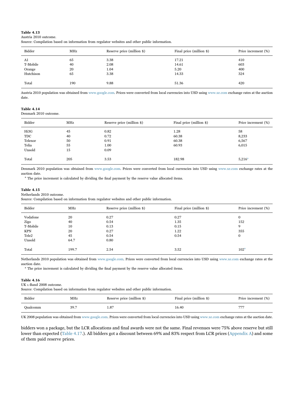<span id="page-17-0"></span>

| Table 4.13                                                                                     |  |  |
|------------------------------------------------------------------------------------------------|--|--|
| Austria 2010 outcome.                                                                          |  |  |
| Source: Compilation based on information from regulator websites and other public information. |  |  |

| Bidder    | MHz | Reserve price (million \$) | Final price (million \$) | Price increment (%) |
|-----------|-----|----------------------------|--------------------------|---------------------|
| A1        | 65  | 3.38                       | 17.21                    | 410                 |
| T-Mobile  | 40  | 2.08                       | 14.61                    | 603                 |
| Orange    | 20  | 1.04                       | 5.20                     | 400                 |
| Hutchison | 65  | 3.38                       | 14.33                    | 324                 |
| Total     | 190 | 9.88                       | 51.36                    | 420                 |

Austria 2010 population was obtained from www.google.com. Prices were converted from local currencies into USD using www.xe.com exchange rates at the auction date.

#### <span id="page-17-1"></span>Table 4.14

Denmark 2010 outcome.

| Bidder  | MHz | Reserve price (million \$) | Final price (million \$) | Price increment (%) |
|---------|-----|----------------------------|--------------------------|---------------------|
| Hi3G    | 45  | 0.82                       | 1.28                     | 58                  |
| TDC     | 40  | 0.72                       | 60.38                    | 8,233               |
| Telenor | 50  | 0.91                       | 60.38                    | 6,567               |
| Telia   | 55  | 1.00                       | 60.93                    | 6,015               |
| Unsold  | 15  | 0.09                       |                          |                     |
|         |     |                            |                          |                     |
| Total   | 205 | 3.53                       | 182.98                   | $5,216^a$           |
|         |     |                            |                          |                     |

Denmark 2010 population was obtained from www.google.com. Prices were converted from local currencies into USD using www.xe.com exchange rates at the auction date.

<sup>a</sup> The price increment is calculated by dividing the final payment by the reserve value allocated items.

#### <span id="page-17-2"></span>Table 4.15

Netherlands 2010 outcome.

Source: Compilation based on information from regulator websites and other public information.

| Bidder     | MHz   | Reserve price (million \$) | Final price (million \$) | Price increment (%) |
|------------|-------|----------------------------|--------------------------|---------------------|
| Vodafone   | 20    | 0.27                       | 0.27                     | $\bf{0}$            |
| Zigo       | 40    | 0.54                       | 1.35                     | 152                 |
| T-Mobile   | 10    | 0.13                       | 0.15                     | 9                   |
| <b>KPN</b> | 20    | 0.27                       | 1.22                     | 355                 |
| Tele2      | 45    | 0.54                       | 0.54                     | 0                   |
| Unsold     | 64.7  | 0.80                       |                          |                     |
|            |       |                            |                          |                     |
| Total      | 199.7 | 2.54                       | 3.52                     | $102^{\rm a}$       |
|            |       |                            |                          |                     |

Netherlands 2010 population was obtained from www.google.com. Prices were converted from local currencies into USD using www.xe.com exchange rates at the auction date.

<sup>a</sup> The price increment is calculated by dividing the final payment by the reserve value allocated items.

#### <span id="page-17-3"></span>Table 4.16

UK L-Band 2008 outcome.

Source: Compilation based on information from regulator websites and other public information.

| Bidder   | MHz | Reserve price (million \$) | Final price (million \$) | Price increment (%) |
|----------|-----|----------------------------|--------------------------|---------------------|
| Qualcomm | 39. | 1.87                       | 16.40                    |                     |

UK 2008 population was obtained from www.google.com. Prices were converted from local currencies into USD using www.xe.com exchange rates at the auction date.

bidders won a package, but the LCR allocations and final awards were not the same. Final revenues were 75% above reserve but still lower than expected ([Table 4.17.](#page-18-2)). All bidders got a discount between 69% and 83% respect from LCR prices ([Appendix A](#page-20-1)) and some of them paid reserve prices.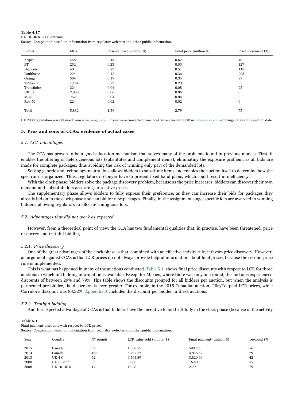<span id="page-18-2"></span>

| <b>Table 4.17</b> |                                                                                                |
|-------------------|------------------------------------------------------------------------------------------------|
|                   | UK 10 40 K 2008 outcome.                                                                       |
|                   | Source: Compilation based on information from regulator websites and other public information. |

| Bidder      | MHz   | Reserve price (million \$) | Final price (million \$) | Price increment (%) |
|-------------|-------|----------------------------|--------------------------|---------------------|
| Arqiva      | 448   | 0.45                       | 0.62                     | 40                  |
| <b>BT</b>   | 252   | 0.23                       | 0.53                     | 127                 |
| Digiweb     | 40    | 0.23                       | 0.51                     | 117                 |
| Faultbasic  | 224   | 0.12                       | 0.36                     | 205                 |
| Orange      | 504   | 0.17                       | 0.35                     | 99                  |
| T-Mobile    | 1,164 | 0.23                       | 0.23                     | $\mathbf{0}$        |
| Transfinite | 224   | 0.04                       | 0.08                     | 95                  |
| <b>UKBB</b> | 2,000 | 0.06                       | 0.06                     | $\mathbf{0}$        |
| MLL         | 752   | 0.04                       | 0.04                     | $\mathbf{0}$        |
| Red-M       | 224   | 0.02                       | 0.02                     | $\boldsymbol{0}$    |
|             |       |                            |                          |                     |
| Total       | 5,832 | 1.59                       | 2.79                     | 75                  |

UK 2008 population was obtained from www.google.com. Prices were converted from local currencies into USD using www.xe.com exchange rates at the auction date.

#### <span id="page-18-0"></span>5. Pros and cons of CCAs: evidence of actual cases

### 5.1. CCA advantages

The CCA has proven to be a good allocation mechanism that solves many of the problems found in previous models. First, it enables the offering of heterogeneous lots (substitutes and complement items), eliminating the exposure problem, as all bids are made for complete packages, thus avoiding the risk of winning only part of the demanded lots.

Setting generic and technology neutral lots allows bidders to substitute items and enables the auction itself to determine how the spectrum is organized. Thus, regulators no longer have to present fixed band plans, which could result in inefficiency.

With the clock phase, bidders solve the package discovery problem, because as the price increases, bidders can discover their own demand and substitute lots according to relative prices.

The supplementary phase allows bidders to fully express their preference, as they can increase their bids for packages they already bid on in the clock phase and can bid for new packages. Finally, in the assignment stage, specific lots are awarded to winning bidders, allowing regulators to allocate contiguous lots.

### <span id="page-18-1"></span>5.2. Advantages that did not work as expected

However, from a theoretical point of view, the CCA has two fundamental qualities that, in practice, have been threatened: price discovery and truthful bidding.

#### 5.2.1. Price discovery

One of the great advantages of the clock phase is that, combined with an effective activity rule, it favors price discovery. However, an argument against CCAs is that LCR prices do not always provide helpful information about final prices, because the second price rule is implemented.

This is what has happened in many of the auctions conducted. [Table 5.1](#page-18-3). shows final price discounts with respect to LCR for those auctions in which full bidding information is available. Except for Mexico, where there was only one round, the auctions experienced discounts of between 29% and 79%. This table shows the discounts grouped for all bidders per auction, but when the analysis is performed per bidder, the dispersion is even greater. For example, in the 2015 Canadian auction, TBayTel paid LCR prices, while Corridor's discount was 83.32%. [Appendix A](#page-20-1) includes the discount per bidder in these auctions.

#### 5.2.2. Truthful bidding

Another expected advantage of CCAs is that bidders have the incentive to bid truthfully in the clock phase (because of the activity

### <span id="page-18-3"></span>Table 5.1

Final payment discounts with respect to LCR prices.

Source: Compilation based on information from regulator websites and other public information.

| Year | Country    | $N^{\circ}$ rounds | LCR value sold (million \$) | Final payment (million \$) | Discount (%) |
|------|------------|--------------------|-----------------------------|----------------------------|--------------|
| 2015 | Canada     | 39                 | 1,368.57                    | 599.78                     | 56           |
| 2014 | Canada     | 106                | 6,797.72                    | 4,816.62                   | 29           |
| 2013 | UK 4 G     | 52                 | 6,565.89                    | 3,820.60                   | 42           |
| 2008 | UK L Band  | 33                 | 36.66                       | 16.40                      | 55           |
| 2008 | UK 10 40 K | 17                 | 13.28                       | 2.79                       | 79           |
|      |            |                    |                             |                            |              |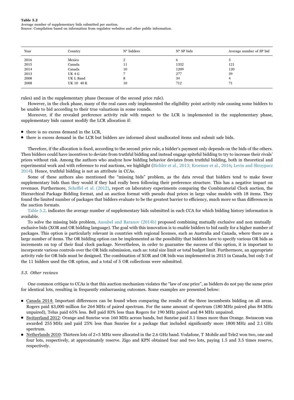<span id="page-19-0"></span>

| Year | Country    | $N^{\circ}$ bidders | $N^{\circ}$ SP bids | Average number of SP bid |
|------|------------|---------------------|---------------------|--------------------------|
| 2016 | Mexico     |                     | 6                   | 3                        |
| 2015 | Canada     | 11                  | 1332                | 121                      |
| 2014 | Canada     | 10                  | 1209                | 120                      |
| 2013 | UK 4 G     |                     | 277                 | 39                       |
| 2008 | UK L Band  | 8                   | 34                  | 4                        |
| 2008 | UK 10 40 K | 10                  | 712                 | 71                       |

rules) and in the supplementary phase (because of the second price rule).

However, in the clock phase, many of the real cases only implemented the eligibility point activity rule causing some bidders to be unable to bid according to their true valuations in some rounds.

Moreover, if the revealed preference activity rule with respect to the LCR is implemented in the supplementary phase, supplementary bids cannot modify the LCR allocation if:

• there is no excess demand in the LCR.

• there is excess demand in the LCR but bidders are informed about unallocated items and submit safe bids.

Therefore, if the allocation is fixed, according to the second price rule, a bidder's payment only depends on the bids of the others. Then bidders could have incentives to deviate from truthful bidding and instead engage spiteful bidding to try to increase their rivals' prices without risk. Among the authors who analyze how bidding behavior deviates from truthful bidding, both in theoretical and experimental work and with reference to real auctions, we highlight ([Bichler et al., 2013; Kroemer et al., 2016](#page-21-2); [Levin and Skrzypacz](#page-22-1) [2014\)](#page-22-1). Hence, truthful bidding is not an attribute in CCAs.

Some of these authors also mentioned the "missing bids" problem, as the data reveal that bidders tend to make fewer supplementary bids than they would if they had really been following their preference structure. This has a negative impact on revenues. Furthermore, Scheff[el et al. \(2012\)](#page-22-35), report on laboratory experiments comparing the Combinatorial Clock auction, the Hierarchical Package Bidding format, and an auction format with pseudo dual prices in large value models with 18 items. They found the limited number of packages that bidders evaluate to be the greatest barrier to efficiency, much more so than differences in the auction formats.

[Table 5.2](#page-19-0). indicates the average number of supplementary bids submitted in each CCA for which bidding history information is available.

To solve the missing bids problem, [Ausubel and Baranov \(2014b\)](#page-21-3) proposed combining mutually exclusive and non mutually exclusive bids (XOR and OR bidding language). The goal with this innovation is to enable bidders to bid easily for a higher number of packages. This option is particularly relevant in countries with regional licenses, such as Australia and Canada, where there are a large number of items. The OR bidding option can be implemented as the possibility that bidders have to specify various OR bids as increments on top of their final clock package. Nevertheless, in order to guarantee the success of this option, it is important to incorporate various controls over the OR bids submission, such as: total size limit or total budget limit. Furthermore, an appropriate activity rule for OR bids must be designed. The combination of XOR and OR bids was implemented in 2015 in Canada, but only 3 of the 11 bidders used the OR option, and a total of 5 OR collections were submitted.

# 5.3. Other reviews

One common critique to CCAs is that this auction mechanism violates the "law of one price", as bidders do not pay the same price for identical lots, resulting in frequently embarrassing outcomes. Some examples are presented below:

- Canada 2014: Important differences can be found when comparing the results of the three incumbents bidding on all areas. Rogers paid \$3,000 million for 264 MHz of paired spectrum. For the same amount of spectrum (180 MHz paired plus 84 MHz unpaired), Telus paid 65% less. Bell paid 83% less than Rogers for 190 MHz paired and 84 MHz unpaired.
- Switzerland 2012: Orange and Sunrise won 160 MHz across bands, but Sunrise paid 3.1 times more than Orange. Swisscom was awarded 255 MHz and paid 25% less than Sunrise for a package that included significantly more 1800 MHz and 2.1 GHz spectrum.
- Netherlands 2010: Thirteen lots of 2×5 MHz were allocated in the 2.6 GHz band. Vodafone, T Mobile and Tele2 won two, one and four lots, respectively, at approximately reserve. Zigo and KPN obtained four and two lots, paying 1.5 and 3.5 times reserve, respectively.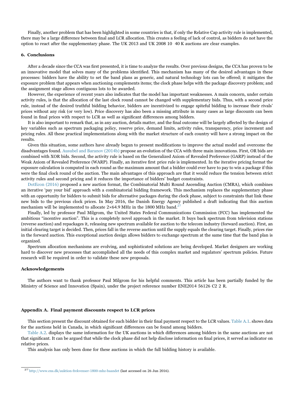Finally, another problem that has been highlighted in some countries is that, if only the Relative Cap activity rule is implemented, there may be a large difference between final and LCR allocation. This creates a feeling of lack of control, as bidders do not have the option to react after the supplementary phase. The UK 2013 and UK 2008 10 40 K auctions are clear examples.

### <span id="page-20-0"></span>6. Conclusions

After a decade since the CCA was first presented, it is time to analyze the results. Over previous designs, the CCA has proven to be an innovative model that solves many of the problems identified. This mechanism has many of the desired advantages in these processes: bidders have the ability to set the band plans as generic, and natural technology lots can be offered; it mitigates the exposure problem that appears when auctioning complements items; the clock phase helps with the package discovery problem; and the assignment stage allows contiguous lots to be awarded.

However, the experience of recent years also indicates that the model has important weaknesses. A main concern, under certain activity rules, is that the allocation of the last clock round cannot be changed with supplementary bids. Thus, with a second price rule, instead of the desired truthful bidding behavior, bidders are incentivized to engage spiteful bidding to increase their rivals' prices without any risk (or very low). Price discovery has also been a missing attribute in many cases as large discounts can been found in final prices with respect to LCR as well as significant differences among bidders.

It is also important to remark that, as in any auction, details matter, and the final outcome will be largely affected by the design of key variables such as spectrum packaging policy, reserve price, demand limits, activity rules, transparency, price increment and pricing rules. All these practical implementations along with the market structure of each country will have a strong impact on the results.

Given this situation, some authors have already begun to present modifications to improve the actual model and overcome the disadvantages found. [Ausubel and Baranov \(2014b\)](#page-21-3) propose an evolution of the CCA with three main innovations. First, OR bids are combined with XOR bids. Second, the activity rule is based on the Generalized Axiom of Revealed Preference (GARP) instead of the Weak Axiom of Revealed Preference (WARP). Finally, an iterative first price rule is implemented. In the iterative pricing format the exposure calculation is computed in each round as the maximum amount that a bidder could ever have to pay to win a package if this were the final clock round of the auction. The main advantages of this approach are that it would reduce the tension between strict activity rules and second pricing and it reduces the importance of bidders' budget constraints.

[DotEcon \(2016\)](#page-22-36) proposed a new auction format, the Combinatorial Multi Round Ascending Auction (CMRA), which combines an iterative 'pay your bid' approach with a combinatorial bidding framework. This mechanism replaces the supplementary phase with an opportunity for bidders to submit bids for alternative packages during the clock phase, subject to constraints that link these new bids to the previous clock prices. In May 2016, the Danish Energy Agency published a draft indicating that this auction mechanism will be implemented to allocate 2×64.9 MHz in the 1800 MHz band.<sup>2</sup>

Finally, led by professor Paul Milgrom, the United States Federal Communications Commission (FCC) has implemented the ambitious "incentive auction". This is a completely novel approach in the market. It buys back spectrum from television stations (reverse auction) and repackages it, releasing new spectrum available for auction to the telecom industry (forward auction). First, an initial clearing target is decided. Then, prices fall in the reverse auction until the supply equals the clearing target. Finally, prices rise in the forward auction. This exceptional auction design allows bidders to exchange spectrum at the same time that the band plan is organized.

Spectrum allocation mechanisms are evolving, and sophisticated solutions are being developed. Market designers are working hard to discover new processes that accomplished all the needs of this complex market and regulators' spectrum policies. Future research will be required in order to validate these new proposals.

#### Acknowledgements

The authors want to thank professor Paul Milgrom for his helpful comments. This article has been partially funded by the Ministry of Science and Innovation (Spain), under the project reference number ENE2014 56126 C2 2 R.

#### <span id="page-20-1"></span>Appendix A. Final payment discounts respect to LCR prices

This section present the discount obtained for each bidder in their final payment respect to the LCR values. [Table A.1](#page-21-12). shows data for the auctions held in Canada, in which significant differences can be found among bidders.

[Table A.2](#page-21-13). displays the same information for the UK auctions in which differences among bidders in the same auctions are not that significant. It can be argued that while the clock phase did not help disclose information on final prices, it served as indicator on relative prices.

This analysis has only been done for these auctions in which the full bidding history is available.

<span id="page-20-2"></span><sup>27</sup> http://www.ens.dk/auktion-frekvenser-1800-mhz-baandet (last accessed on 26 Jun 2016).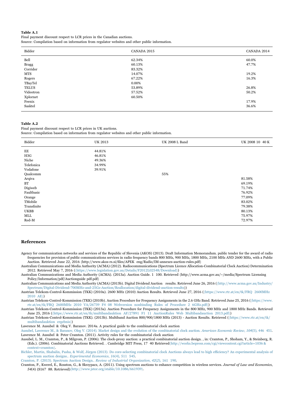#### <span id="page-21-12"></span>Table A.1

Final payment discount respect to LCR prices in the Canadian auctions. Source: Compilation based on information from regulator websites and other public information.

| Bidder       | CANADA 2015 | CANADA 2014 |
|--------------|-------------|-------------|
| Bell         | 62.34%      | 60.0%       |
| <b>Bragg</b> | 60.13%      | 47.7%       |
| Corridor     | 83.32%      |             |
| MTS          | 14.07%      | 19.2%       |
| Rogers       | 67.22%      | 16.3%       |
| TBayTel      | 0.00%       |             |
| <b>TELUS</b> | 53.89%      | 26.8%       |
| Videotron    | 57.52%      | 50.2%       |
| Xplornet     | 60.50%      |             |
| Feenix       |             | 17.9%       |
| Sasktel      |             | 36.6%       |

#### <span id="page-21-13"></span>Table A.2

Final payment discount respect to LCR prices in UK auctions.

Source: Compilation based on information from regulator websites and other public information.

| Bidder      | UK 2013 | <b>UK 2008 L Band</b> | UK 2008 10 40 K |
|-------------|---------|-----------------------|-----------------|
| EE          | 44.81%  |                       |                 |
| H3G         | 46.81%  |                       |                 |
| Niche       | 49.36%  |                       |                 |
| Telefonica  | 34.99%  |                       |                 |
| Vodafone    | 39.91%  |                       |                 |
| Qualcomm    |         | 55%                   |                 |
| Arqiva      |         |                       | 81.58%          |
| BT          |         |                       | 69.19%          |
| Digiweb     |         |                       | 71.74%          |
| Faultbasic  |         |                       | 76.92%          |
| Orange      |         |                       | 77.09%          |
| TMobile     |         |                       | 83.02%          |
| Transfinite |         |                       | 79.38%          |
| <b>UKBB</b> |         |                       | 80.13%          |
| MLL         |         |                       | 75.97%          |
| Red-M       |         |                       | 72.97%          |
|             |         |                       |                 |

#### References

- <span id="page-21-7"></span>Agency for communication networks and services of the Republic of Slovenia (AKOS) (2013). Draft Information Memorandum. public tender for the award of radio frequencies for provision of public communications services in radio frequency bands 800 MHz, 900 MHz, 1800 MHz, 2100 MHz AND 2600 MHz, with a Public Auction. Retrieved June 22, 2016 〈http://www.akos-rs.si/files/APEK eng/Radio/IM-annexes-auction-rules.pdf〉
- <span id="page-21-8"></span>Australian Communications and Media Authority (ACMA) (2012). Radiocommunications (Spectrum Licence Allocation-Combinatorial Clock Auction) Determination 2012. Retrieved May 7, 2016 (〈https://www.legislation.gov.au/Details/F2012L02548/Download〉)
- Australian Communications and Media Authority (ACMA). (2013a). Auction Guide. 1 100. Retrieved 〈http://www.acma.gov.au/~/media/Spectrum Licensing Policy/Information/pdf/Auctionguide pdf.pdf〉
- <span id="page-21-9"></span>Australian Communications and Media Authority (ACMA) (2013b). Digital Dividend Auction results. Retrieved June 26, 2016 (〈http://www.acma.gov.au/Industry/ Spectrum/Digital-Dividend-700MHz-and-25Gz-Auction/Reallocation/digital-dividend-auction-results〉)
- <span id="page-21-11"></span>Austrian Telekom-Control-Kommission (TKK) (2010a). 2600 MHz (2010) Auction Results. Retrieved June 27, 2016 (〈https://www.rtr.at/en/tk/FRQ 2600MHz 2010 AE〉)

Austrian Telekom-Control-Kommission (TKK) (2010b). Auction Procedure for Frequency Assignments in the 2.6 GHz Band. Retrieved June 25, 2016 (〈https://www. rtr.at/en/tk/FRQ 2600MHz 2010 VA/26739 F4 08 Webversion nonbinding Rules of Procedure 2 6GHz.pdf〉)

<span id="page-21-10"></span>Austrian Telekom-Control-Kommission (TKK) (2013a). Auction Procedure for Frequency Assignments in the 800 MHz, 900 MHz and 1800 MHz Bands. Retrieved June 25, 2016 ( $\frac{\text{th}}{2}$  /www.rtr.at/en/tk/multibandauktion AF/27891 F1 11 AuctionRules Web Multibandauction 2013.pdf)

Austrian Telekom-Control-Kommission (TKK). (2013b). Multiband Auction 800/900/1800 MHz (2013) - Auction Results. Retrieved (〈https://www.rtr.at/en/tk/ multibandauktion ergebnis〉)

<span id="page-21-5"></span>Lawrence M. Ausubel & Oleg V. Baranov. 2014a. A practical guide to the combinatorial clock auction

<span id="page-21-3"></span><span id="page-21-0"></span>Ausubel, Lawrence M., & Baranov, Oleg V. (2014). Market design and the evolution of the combinatorial clock auction. American Economic Review, 104(5), 446 451. Lawrence M. Ausubel & Peter Cramton. (2011). Activity rules for the combinatorial clock auction

<span id="page-21-4"></span>Ausubel, L. M., Cramton, P., & Milgrom, P. (2006). The clock-proxy auction: a practical combinatorial auction design. , in: Cramton, P., Shoham, Y., & Steinberg, R. (Eds.). (2006). Combinatorial Auctions Retrieved. . Cambridge MIT Press, 17 40 Retrieved〈http://works.bepress.com/cgi/viewcontent.cgi?article=1036 & context=cramton〉.

<span id="page-21-2"></span>Bichler, Martin, Shabalin, Pasha, & Wolf, Jürgen (2013). Do core-selecting combinatorial clock Auctions always lead to high efficiency? An experimental analysis of spectrum auction designs.. Experimental Economics, 16(4), 511 545.

<span id="page-21-1"></span>Cramton, P. (2013). Spectrum Auction Design.. Review of Industrial Organization, 42(2), 161 190.

<span id="page-21-6"></span>Cramton, P., Kwerel, E., Rosston, G., & Skrzypacz, A. (2011). Using spectrum auctions to enhance competition in wireless services. Journal of Law and Economics, 54(4) (S167 88. Retrieved)〈http://www.jstor.org/stable/10.1086/661939〉.